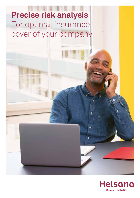# **Precise risk analysis** For optimal insurance cover of your company



ó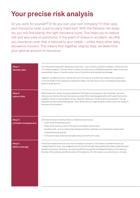## **Your precise risk analysis**

Do you work for yourself? Or do you own your own company? In that case, your insurance cover is particularly important. With the Helsana risk analysis, you will find exactly the right insurance cover. This helps you to reduce risk and also save on premiums. In the event of illness or accident, we offer you insurance cover that is tailored to your needs – unlike many other daily allowance insurers. This means that together, step by step, we determine your optimal amount of insurance.

| Step 1:<br>identify risks        | You should be prepared for absences at any time - due to illness, accident, holidays, military service<br>or for family reasons. This can result in follow-up costs due to unfulfilled customer orders (contractu-<br>al penalties), losses in inventory value, loss of customers and reputational damage.<br>Together, we determine your optimal amount of insurance. Transfer the numbers from points A to<br>C into the fields of the respective subsequent steps. This will result in your insurable annual salary<br>amount under point D. |
|----------------------------------|-------------------------------------------------------------------------------------------------------------------------------------------------------------------------------------------------------------------------------------------------------------------------------------------------------------------------------------------------------------------------------------------------------------------------------------------------------------------------------------------------------------------------------------------------|
| Step 2:<br>reduce risks          | What losses can I expect during my absence? Think about this question. But remember, the more<br>risks you can reduce, the less insurance you need. When making agreements with customers and/or<br>suppliers, factor in the possibility of your absence. Keep your inventory as low as possible. This ap-<br>plies particularly to perishable goods. Think about how you might be able to retain customer loyalty in<br>the event of a shutdown.                                                                                               |
| Step 3:<br>estimate consequences | Estimate the loss of revenue that your absence would cause.<br>- Lower revenue reduces profits.<br>- Fixed costs continue, even in the event of complete revenue loss.<br>- Variable costs, such as material purchases and other expenses, are reduced as a result of de-<br>creased business activity.<br>In the worst case, costs exceed sales and you are left with a loss.                                                                                                                                                                  |
| Step 4:<br>define coverage       | Financial consequences can vary from company to company. If an illness or accident leaves you<br>incapacitated for work, insure against loss of income through Helsana Business Salary daily sickness<br>benefits insurance. The follow-up costs are difficult to quantify and depend heavily on the industry,<br>the size of the company and the duration of the absence. For this reason, you cannot be co-insured.                                                                                                                           |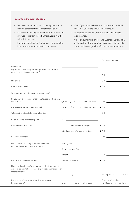### **Benefits in the event of a claim**

- We base our calculations on the figures in your income statement for the last financial year.
- In the event of irregular business operations, the average of the last three financial years may be taken into account.
- For newly established companies, we ignore the income statement for the first two years.
- Even if your income is reduced by 90%, you will still receive 100% of the annual salary amount.
- In addition to income (profit), your fixed costs are also insured.
- Since all customers of Helsana Business Salary daily sickness benefits insurance may assert claims only for actual losses, you benefit from lower premiums.

|                                                                                                                                              |                                                                                                                      | Amounts per year                                                   |
|----------------------------------------------------------------------------------------------------------------------------------------------|----------------------------------------------------------------------------------------------------------------------|--------------------------------------------------------------------|
| Fixed costs<br>(e.g. rent for business premises, personnel costs, insur-<br>ance, interest, leasing rates, etc.)                             | the control of the control of the control of the control of the control of the control of                            |                                                                    |
| Net profit                                                                                                                                   | <u> 1989 - Johann John Stein, markin fan it ferstjer fan it ferstjer fan it ferstjer fan it ferstjer fan it fers</u> |                                                                    |
| Maximum damages                                                                                                                              |                                                                                                                      |                                                                    |
| What are your functions within the company?                                                                                                  |                                                                                                                      |                                                                    |
| Do you have a substitute or can employees or others help<br>out or step in?                                                                  | $\bigcirc$ Yes $\bigcirc$ No If yes, additional costs                                                                |                                                                    |
| Are any external services available?                                                                                                         | $\bigcirc$ Yes $\bigcirc$ No If yes, additional costs                                                                | <b>B</b> CHF <u>_____________________</u>                          |
| Total additional costs for loss mitigation                                                                                                   |                                                                                                                      | CHF <b>CHE</b>                                                     |
| Sales in normal business operations                                                                                                          |                                                                                                                      |                                                                    |
| Revenue loss (estimate)                                                                                                                      | - % x maximum damages                                                                                                |                                                                    |
|                                                                                                                                              | Additional costs for loss mitigation                                                                                 |                                                                    |
| Expected damages                                                                                                                             |                                                                                                                      |                                                                    |
| Do you have other daily allowance insurance                                                                                                  | <u> 1999 - Johann Stein, mars and de Brande</u><br>Waiting period                                                    |                                                                    |
| policies that cover illness or accident?                                                                                                     | Duration of benefits ________________                                                                                |                                                                    |
|                                                                                                                                              | <b>Benefit</b>                                                                                                       |                                                                    |
| Insurable annual salary amount                                                                                                               | C/existing benefits                                                                                                  |                                                                    |
| How long does it take for damage resulting from your ab-<br>sence to be quantified, or how long you can bear the risk of<br>losses yourself? |                                                                                                                      |                                                                    |
|                                                                                                                                              | days                                                                                                                 | Waiting period __________ days                                     |
| In the event of disability, when do your pension<br>benefits begin?                                                                          | after _______ days/months/years                                                                                      | Duration of benefits<br>$\bigcirc$ 365 days<br>$\bigcirc$ 730 days |